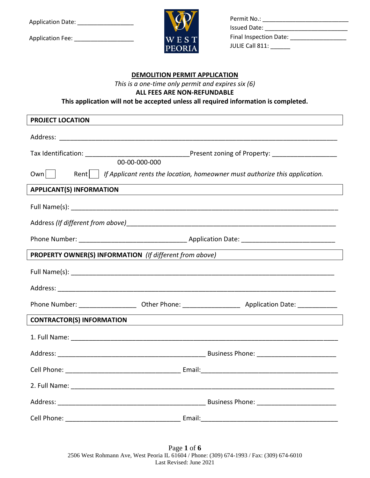Application Date: \_\_\_\_\_\_\_\_\_\_\_\_\_\_\_\_\_

Application Fee: \_\_\_\_\_\_\_\_\_\_\_\_\_\_\_\_\_\_



| Permit No.:            |
|------------------------|
| Issued Date:           |
| Final Inspection Date: |
| JULIE Call 811:        |

#### **DEMOLITION PERMIT APPLICATION**

*This is a one-time only permit and expires six (6)*

#### **ALL FEES ARE NON-REFUNDABLE**

**This application will not be accepted unless all required information is completed.**

| <b>PROJECT LOCATION</b> |
|-------------------------|

|                                                                | 00-00-000-000 |                                                                                                                |
|----------------------------------------------------------------|---------------|----------------------------------------------------------------------------------------------------------------|
|                                                                |               | $ own \mid$ Rent $ $ If Applicant rents the location, homeowner must authorize this application.               |
| <b>APPLICANT(S) INFORMATION</b>                                |               |                                                                                                                |
|                                                                |               |                                                                                                                |
|                                                                |               |                                                                                                                |
|                                                                |               |                                                                                                                |
| <b>PROPERTY OWNER(S) INFORMATION</b> (If different from above) |               |                                                                                                                |
|                                                                |               |                                                                                                                |
|                                                                |               |                                                                                                                |
|                                                                |               | Phone Number: ________________________ Other Phone: ____________________________ Application Date: ___________ |
| <b>CONTRACTOR(S) INFORMATION</b>                               |               |                                                                                                                |
|                                                                |               |                                                                                                                |
|                                                                |               |                                                                                                                |
|                                                                |               |                                                                                                                |
|                                                                |               |                                                                                                                |
|                                                                |               |                                                                                                                |
|                                                                |               |                                                                                                                |

Page **1** of **6** 2506 West Rohmann Ave, West Peoria IL 61604 / Phone: (309) 674-1993 / Fax: (309) 674-6010 Last Revised: June 2021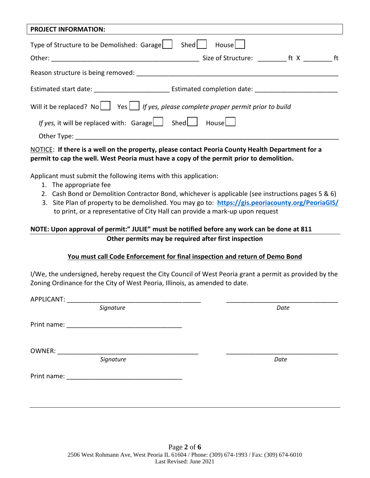| Page 2 of 6<br>2506 West Rohmann Ave, West Peoria IL 61604 / Phone: (309) 674-1993 / Fax: (309) 674-6010<br>Last Revised: June 2021 |
|-------------------------------------------------------------------------------------------------------------------------------------|
|                                                                                                                                     |

| <b>PROJECT INFORMATION:</b>                                                                    |                            |  |
|------------------------------------------------------------------------------------------------|----------------------------|--|
| Type of Structure to be Demolished: Garage                                                     | Shed  <br>House            |  |
|                                                                                                | Size of Structure: ft X ft |  |
|                                                                                                |                            |  |
|                                                                                                |                            |  |
| Will it be replaced? No $\Box$ Yes $\Box$ If yes, please complete proper permit prior to build |                            |  |
| If yes, it will be replaced with: $\frac{1}{2}$ Shed $\frac{1}{2}$ House                       |                            |  |
| Other Type:                                                                                    |                            |  |

### NOTICE: **If there is a well on the property, please contact Peoria County Health Department for a permit to cap the well. West Peoria must have a copy of the permit prior to demolition.**

Applicant must submit the following items with this application:

- 1. The appropriate fee
- 2. Cash Bond or Demolition Contractor Bond, whichever is applicable (see instructions pages 5 & 6)
- 3. Site Plan of property to be demolished. You may go to: **<https://gis.peoriacounty.org/PeoriaGIS/>** to print, or a representative of City Hall can provide a mark-up upon request

# **NOTE: Upon approval of permit:" JULIE" must be notified before any work can be done at 811 Other permits may be required after first inspection**

# **You must call Code Enforcement for final inspection and return of Demo Bond**

I/We, the undersigned, hereby request the City Council of West Peoria grant a permit as provided by the Zoning Ordinance for the City of West Peoria, Illinois, as amended to date.

| APPLICANT:    |           |      |
|---------------|-----------|------|
|               | Signature | Date |
| Print name:   |           |      |
| OWNER:        | Signature | Date |
| Print name: _ |           |      |
|               |           |      |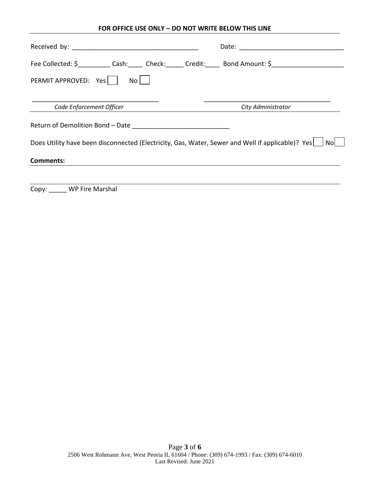### **FOR OFFICE USE ONLY – DO NOT WRITE BELOW THIS LINE**

|                             | Fee Collected: \$ ___________ Cash: ______ Check: ______ Credit: _____ Bond Amount: \$ _____________________ |
|-----------------------------|--------------------------------------------------------------------------------------------------------------|
| PERMIT APPROVED: Yes     No |                                                                                                              |
|                             |                                                                                                              |
| Code Enforcement Officer    | City Administrator                                                                                           |
|                             | Does Utility have been disconnected (Electricity, Gas, Water, Sewer and Well if applicable)? Yes   No        |
|                             |                                                                                                              |
| Comments:                   |                                                                                                              |
|                             |                                                                                                              |
| Copy: WP Fire Marshal       |                                                                                                              |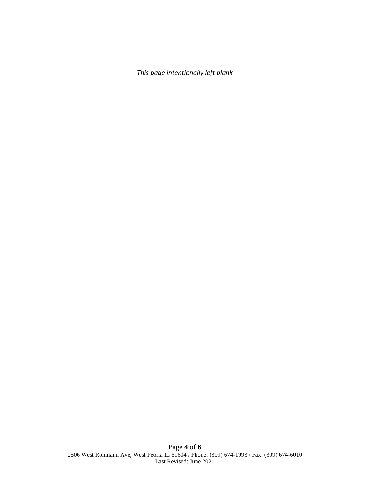*This page intentionally left blank*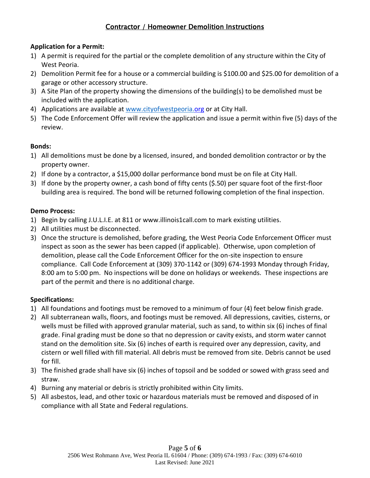# Contractor / Homeowner Demolition Instructions

### **Application for a Permit:**

- 1) A permit is required for the partial or the complete demolition of any structure within the City of West Peoria.
- 2) Demolition Permit fee for a house or a commercial building is \$100.00 and \$25.00 for demolition of a garage or other accessory structure.
- 3) A Site Plan of the property showing the dimensions of the building(s) to be demolished must be included with the application.
- 4) Applications are available at [www.cityofwestpeoria.o](http://www.cityofwestpeoria./)rg or at City Hall.
- 5) The Code Enforcement Offer will review the application and issue a permit within five (5) days of the review.

### **Bonds:**

- 1) All demolitions must be done by a licensed, insured, and bonded demolition contractor or by the property owner.
- 2) If done by a contractor, a \$15,000 dollar performance bond must be on file at City Hall.
- 3) If done by the property owner, a cash bond of fifty cents (\$.50) per square foot of the first-floor building area is required. The bond will be returned following completion of the final inspection.

#### **Demo Process:**

- 1) Begin by calling J.U.L.I.E. at 811 or www.illinois1call.com to mark existing utilities.
- 2) All utilities must be disconnected.
- 3) Once the structure is demolished, before grading, the West Peoria Code Enforcement Officer must inspect as soon as the sewer has been capped (if applicable). Otherwise, upon completion of demolition, please call the Code Enforcement Officer for the on-site inspection to ensure compliance. Call Code Enforcement at (309) 370-1142 or (309) 674-1993 Monday through Friday, 8:00 am to 5:00 pm. No inspections will be done on holidays or weekends. These inspections are part of the permit and there is no additional charge.

#### **Specifications:**

- 1) All foundations and footings must be removed to a minimum of four (4) feet below finish grade.
- 2) All subterranean walls, floors, and footings must be removed. All depressions, cavities, cisterns, or wells must be filled with approved granular material, such as sand, to within six (6) inches of final grade. Final grading must be done so that no depression or cavity exists, and storm water cannot stand on the demolition site. Six (6) inches of earth is required over any depression, cavity, and cistern or well filled with fill material. All debris must be removed from site. Debris cannot be used for fill.
- 3) The finished grade shall have six (6) inches of topsoil and be sodded or sowed with grass seed and straw.
- 4) Burning any material or debris is strictly prohibited within City limits.
- 5) All asbestos, lead, and other toxic or hazardous materials must be removed and disposed of in compliance with all State and Federal regulations.